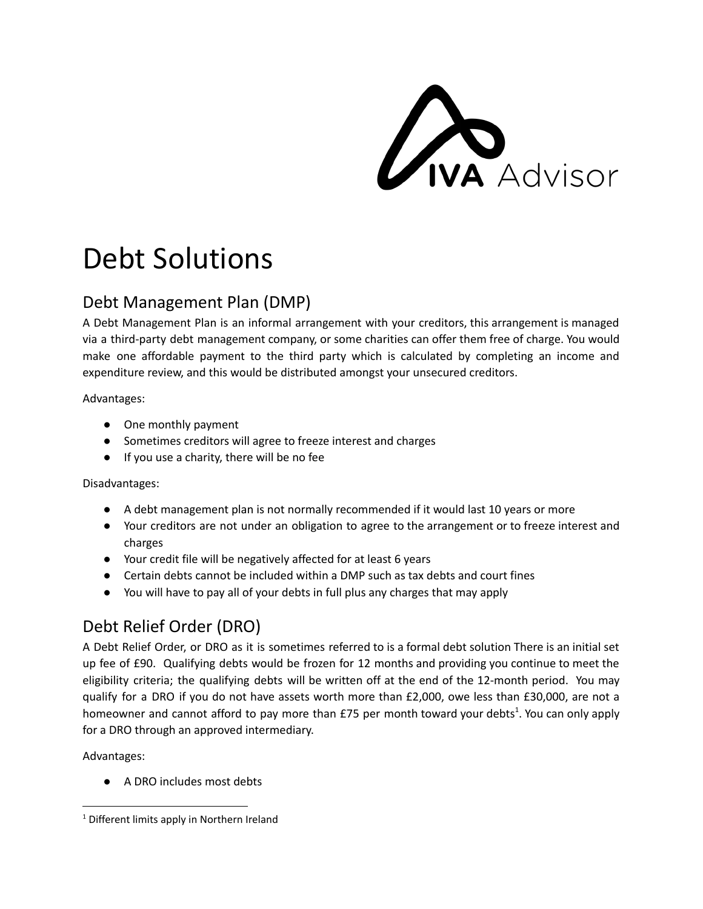**CIVA** Advisor

# Debt Solutions

## Debt Management Plan (DMP)

A Debt Management Plan is an informal arrangement with your creditors, this arrangement is managed via a third-party debt management company, or some charities can offer them free of charge. You would make one affordable payment to the third party which is calculated by completing an income and expenditure review, and this would be distributed amongst your unsecured creditors.

Advantages:

- One monthly payment
- Sometimes creditors will agree to freeze interest and charges
- If you use a charity, there will be no fee

Disadvantages:

- A debt management plan is not normally recommended if it would last 10 years or more
- Your creditors are not under an obligation to agree to the arrangement or to freeze interest and charges
- Your credit file will be negatively affected for at least 6 years
- Certain debts cannot be included within a DMP such as tax debts and court fines
- You will have to pay all of your debts in full plus any charges that may apply

## Debt Relief Order (DRO)

A Debt Relief Order, or DRO as it is sometimes referred to is a formal debt solution There is an initial set up fee of £90. Qualifying debts would be frozen for 12 months and providing you continue to meet the eligibility criteria; the qualifying debts will be written off at the end of the 12-month period. You may qualify for a DRO if you do not have assets worth more than £2,000, owe less than £30,000, are not a homeowner and cannot afford to pay more than £75 per month toward your debts<sup>1</sup>. You can only apply for a DRO through an approved intermediary.

Advantages:

● A DRO includes most debts

<sup>&</sup>lt;sup>1</sup> Different limits apply in Northern Ireland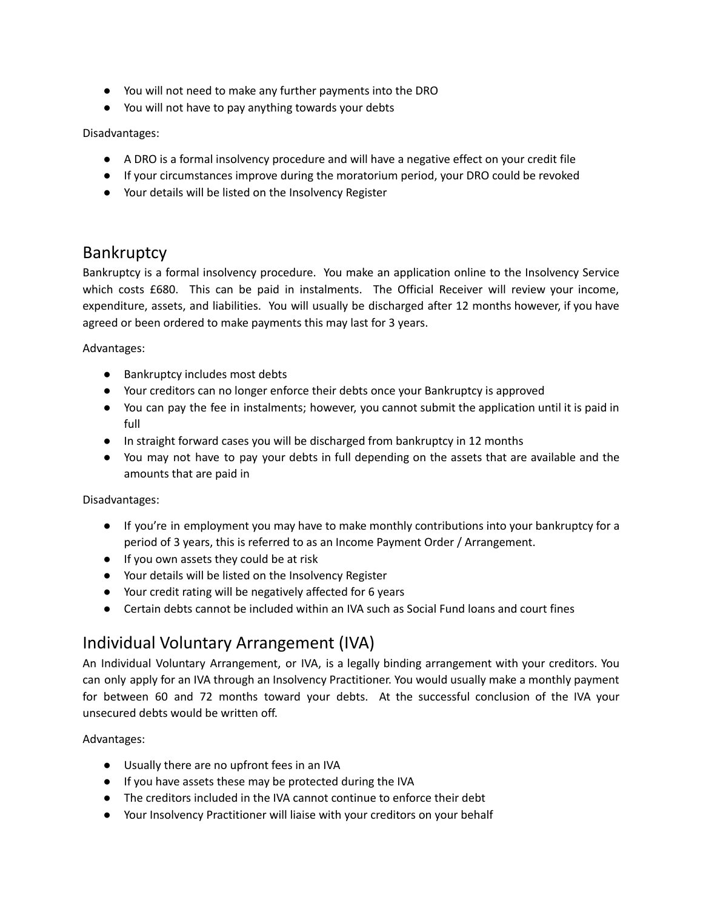- You will not need to make any further payments into the DRO
- You will not have to pay anything towards your debts

Disadvantages:

- A DRO is a formal insolvency procedure and will have a negative effect on your credit file
- If your circumstances improve during the moratorium period, your DRO could be revoked
- Your details will be listed on the Insolvency Register

#### **Bankruptcy**

Bankruptcy is a formal insolvency procedure. You make an application online to the Insolvency Service which costs £680. This can be paid in instalments. The Official Receiver will review your income, expenditure, assets, and liabilities. You will usually be discharged after 12 months however, if you have agreed or been ordered to make payments this may last for 3 years.

Advantages:

- Bankruptcy includes most debts
- Your creditors can no longer enforce their debts once your Bankruptcy is approved
- You can pay the fee in instalments; however, you cannot submit the application until it is paid in full
- In straight forward cases you will be discharged from bankruptcy in 12 months
- You may not have to pay your debts in full depending on the assets that are available and the amounts that are paid in

Disadvantages:

- If you're in employment you may have to make monthly contributions into your bankruptcy for a period of 3 years, this is referred to as an Income Payment Order / Arrangement.
- If you own assets they could be at risk
- Your details will be listed on the Insolvency Register
- Your credit rating will be negatively affected for 6 years
- Certain debts cannot be included within an IVA such as Social Fund loans and court fines

### Individual Voluntary Arrangement (IVA)

An Individual Voluntary Arrangement, or IVA, is a legally binding arrangement with your creditors. You can only apply for an IVA through an Insolvency Practitioner. You would usually make a monthly payment for between 60 and 72 months toward your debts. At the successful conclusion of the IVA your unsecured debts would be written off.

Advantages:

- Usually there are no upfront fees in an IVA
- If you have assets these may be protected during the IVA
- The creditors included in the IVA cannot continue to enforce their debt
- Your Insolvency Practitioner will liaise with your creditors on your behalf